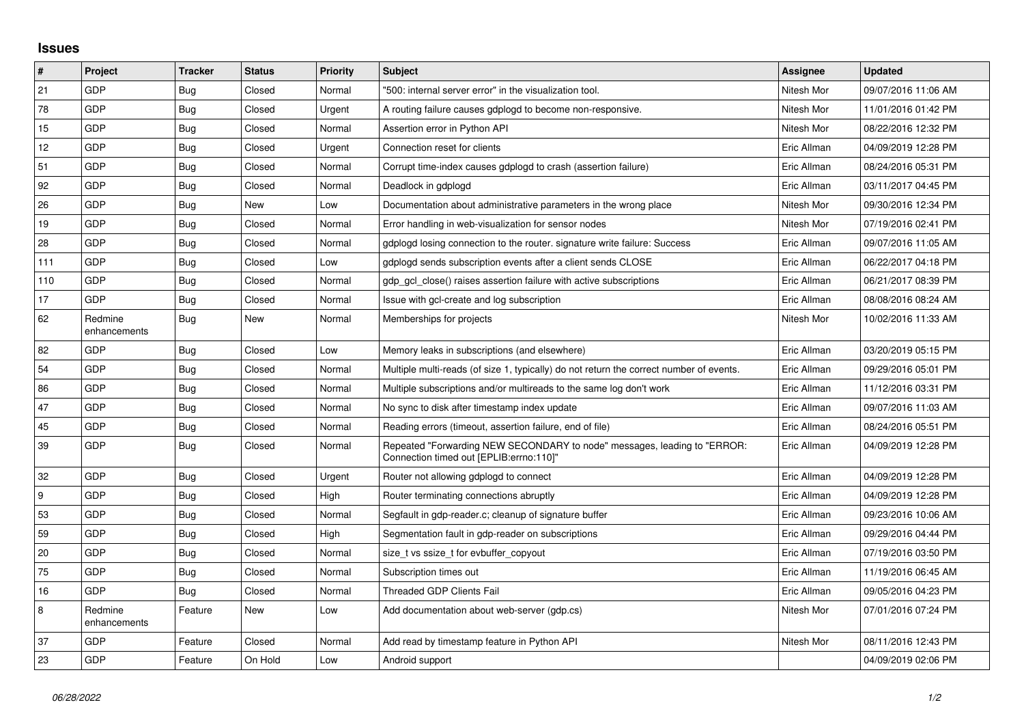## **Issues**

| #               | Project                 | <b>Tracker</b> | <b>Status</b> | <b>Priority</b> | <b>Subject</b>                                                                                                      | Assignee    | <b>Updated</b>      |
|-----------------|-------------------------|----------------|---------------|-----------------|---------------------------------------------------------------------------------------------------------------------|-------------|---------------------|
| 21              | GDP                     | <b>Bug</b>     | Closed        | Normal          | '500: internal server error" in the visualization tool.                                                             | Nitesh Mor  | 09/07/2016 11:06 AM |
| 78              | GDP                     | Bug            | Closed        | Urgent          | A routing failure causes gdplogd to become non-responsive.                                                          | Nitesh Mor  | 11/01/2016 01:42 PM |
| 15              | GDP                     | <b>Bug</b>     | Closed        | Normal          | Assertion error in Python API                                                                                       | Nitesh Mor  | 08/22/2016 12:32 PM |
| 12 <sup>2</sup> | GDP                     | <b>Bug</b>     | Closed        | Urgent          | Connection reset for clients                                                                                        | Eric Allman | 04/09/2019 12:28 PM |
| 51              | GDP                     | Bug            | Closed        | Normal          | Corrupt time-index causes gdplogd to crash (assertion failure)                                                      | Eric Allman | 08/24/2016 05:31 PM |
| 92              | GDP                     | <b>Bug</b>     | Closed        | Normal          | Deadlock in gdplogd                                                                                                 | Eric Allman | 03/11/2017 04:45 PM |
| 26              | GDP                     | <b>Bug</b>     | New           | Low             | Documentation about administrative parameters in the wrong place                                                    | Nitesh Mor  | 09/30/2016 12:34 PM |
| 19              | GDP                     | Bug            | Closed        | Normal          | Error handling in web-visualization for sensor nodes                                                                | Nitesh Mor  | 07/19/2016 02:41 PM |
| 28              | GDP                     | <b>Bug</b>     | Closed        | Normal          | gdplogd losing connection to the router, signature write failure: Success                                           | Eric Allman | 09/07/2016 11:05 AM |
| 111             | GDP                     | <b>Bug</b>     | Closed        | Low             | gdplogd sends subscription events after a client sends CLOSE                                                        | Eric Allman | 06/22/2017 04:18 PM |
| 110             | GDP                     | Bug            | Closed        | Normal          | gdp_gcl_close() raises assertion failure with active subscriptions                                                  | Eric Allman | 06/21/2017 08:39 PM |
| 17              | GDP                     | Bug            | Closed        | Normal          | Issue with gcl-create and log subscription                                                                          | Eric Allman | 08/08/2016 08:24 AM |
| 62              | Redmine<br>enhancements | Bug            | New           | Normal          | Memberships for projects                                                                                            | Nitesh Mor  | 10/02/2016 11:33 AM |
| 82              | GDP                     | Bug            | Closed        | Low             | Memory leaks in subscriptions (and elsewhere)                                                                       | Eric Allman | 03/20/2019 05:15 PM |
| 54              | GDP                     | <b>Bug</b>     | Closed        | Normal          | Multiple multi-reads (of size 1, typically) do not return the correct number of events.                             | Eric Allman | 09/29/2016 05:01 PM |
| 86              | GDP                     | <b>Bug</b>     | Closed        | Normal          | Multiple subscriptions and/or multireads to the same log don't work                                                 | Eric Allman | 11/12/2016 03:31 PM |
| 47              | GDP                     | <b>Bug</b>     | Closed        | Normal          | No sync to disk after timestamp index update                                                                        | Eric Allman | 09/07/2016 11:03 AM |
| 45              | GDP                     | Bug            | Closed        | Normal          | Reading errors (timeout, assertion failure, end of file)                                                            | Eric Allman | 08/24/2016 05:51 PM |
| 39              | GDP                     | Bug            | Closed        | Normal          | Repeated "Forwarding NEW SECONDARY to node" messages, leading to "ERROR:<br>Connection timed out [EPLIB:errno:110]" | Eric Allman | 04/09/2019 12:28 PM |
| 32              | GDP                     | Bug            | Closed        | Urgent          | Router not allowing gdplogd to connect                                                                              | Eric Allman | 04/09/2019 12:28 PM |
| 9               | GDP                     | Bug            | Closed        | High            | Router terminating connections abruptly                                                                             | Eric Allman | 04/09/2019 12:28 PM |
| 53              | GDP                     | Bug            | Closed        | Normal          | Segfault in gdp-reader.c; cleanup of signature buffer                                                               | Eric Allman | 09/23/2016 10:06 AM |
| 59              | GDP                     | <b>Bug</b>     | Closed        | High            | Segmentation fault in gdp-reader on subscriptions                                                                   | Eric Allman | 09/29/2016 04:44 PM |
| 20              | GDP                     | Bug            | Closed        | Normal          | size t vs ssize t for evbuffer copyout                                                                              | Eric Allman | 07/19/2016 03:50 PM |
| 75              | GDP                     | <b>Bug</b>     | Closed        | Normal          | Subscription times out                                                                                              | Eric Allman | 11/19/2016 06:45 AM |
| 16              | GDP                     | Bug            | Closed        | Normal          | Threaded GDP Clients Fail                                                                                           | Eric Allman | 09/05/2016 04:23 PM |
| 8               | Redmine<br>enhancements | Feature        | New           | Low             | Add documentation about web-server (gdp.cs)                                                                         | Nitesh Mor  | 07/01/2016 07:24 PM |
| 37              | GDP                     | Feature        | Closed        | Normal          | Add read by timestamp feature in Python API                                                                         | Nitesh Mor  | 08/11/2016 12:43 PM |
| 23              | GDP                     | Feature        | On Hold       | Low             | Android support                                                                                                     |             | 04/09/2019 02:06 PM |